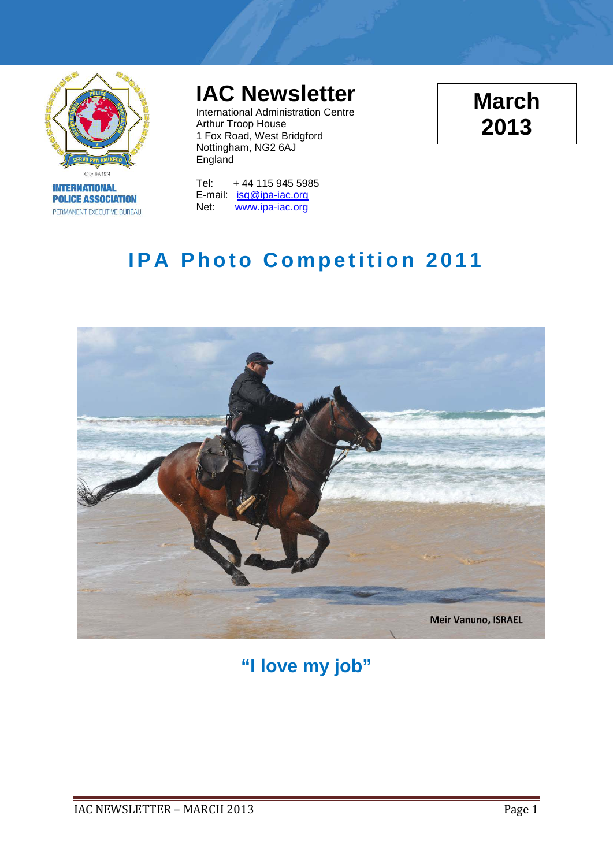

**INTERNATIONAL POLICE ASSOCIATION** PERMANENT EXECUTIVE BUREAU

# **IAC Newsletter**

International Administration Centre Arthur Troop House 1 Fox Road, West Bridgford Nottingham, NG2 6AJ England

**March 2013**

Tel: + 44 115 945 5985 E-mail: [isg@ipa-iac.org](mailto:isg@ipa-iac.org) Net: [www.ipa-iac.org](http://www.ipa-iac.org/)

# **IPA Photo Competition 2011**



**"I love my job"**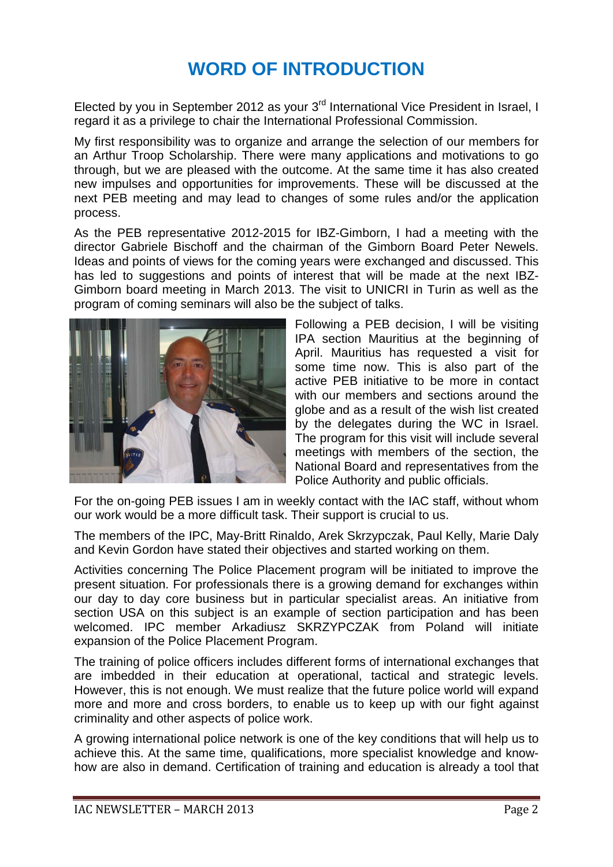## **WORD OF INTRODUCTION**

Elected by you in September 2012 as your 3<sup>rd</sup> International Vice President in Israel, I regard it as a privilege to chair the International Professional Commission.

My first responsibility was to organize and arrange the selection of our members for an Arthur Troop Scholarship. There were many applications and motivations to go through, but we are pleased with the outcome. At the same time it has also created new impulses and opportunities for improvements. These will be discussed at the next PEB meeting and may lead to changes of some rules and/or the application process.

As the PEB representative 2012-2015 for IBZ-Gimborn, I had a meeting with the director Gabriele Bischoff and the chairman of the Gimborn Board Peter Newels. Ideas and points of views for the coming years were exchanged and discussed. This has led to suggestions and points of interest that will be made at the next IBZ-Gimborn board meeting in March 2013. The visit to UNICRI in Turin as well as the program of coming seminars will also be the subject of talks.



Following a PEB decision, I will be visiting IPA section Mauritius at the beginning of April. Mauritius has requested a visit for some time now. This is also part of the active PEB initiative to be more in contact with our members and sections around the globe and as a result of the wish list created by the delegates during the WC in Israel. The program for this visit will include several meetings with members of the section, the National Board and representatives from the Police Authority and public officials.

For the on-going PEB issues I am in weekly contact with the IAC staff, without whom our work would be a more difficult task. Their support is crucial to us.

The members of the IPC, May-Britt Rinaldo, Arek Skrzypczak, Paul Kelly, Marie Daly and Kevin Gordon have stated their objectives and started working on them.

Activities concerning The Police Placement program will be initiated to improve the present situation. For professionals there is a growing demand for exchanges within our day to day core business but in particular specialist areas. An initiative from section USA on this subject is an example of section participation and has been welcomed. IPC member Arkadiusz SKRZYPCZAK from Poland will initiate expansion of the Police Placement Program.

The training of police officers includes different forms of international exchanges that are imbedded in their education at operational, tactical and strategic levels. However, this is not enough. We must realize that the future police world will expand more and more and cross borders, to enable us to keep up with our fight against criminality and other aspects of police work.

A growing international police network is one of the key conditions that will help us to achieve this. At the same time, qualifications, more specialist knowledge and knowhow are also in demand. Certification of training and education is already a tool that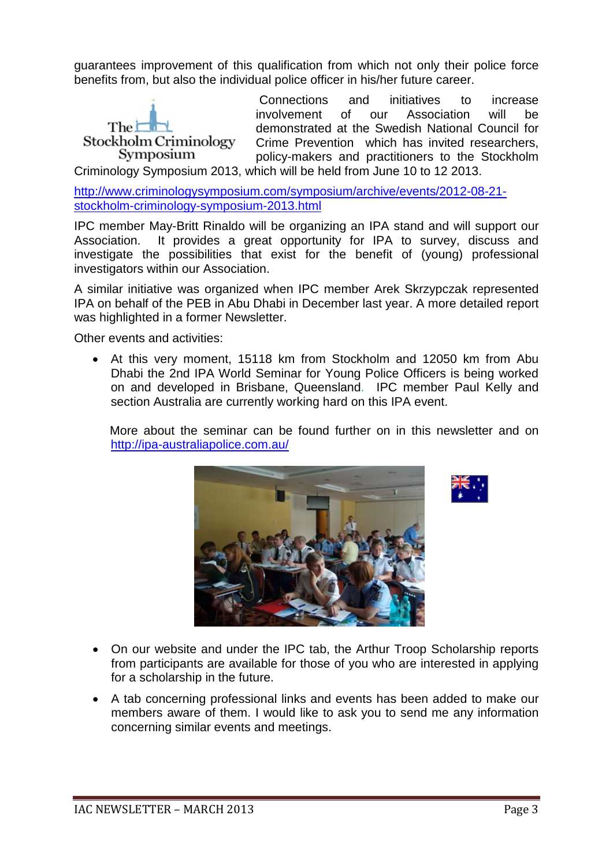guarantees improvement of this qualification from which not only their police force benefits from, but also the individual police officer in his/her future career.



Connections and initiatives to increase involvement of our Association will be demonstrated at the Swedish National Council for Crime Prevention which has invited researchers, policy-makers and practitioners to the Stockholm

Criminology Symposium 2013, which will be held from June 10 to 12 2013.

[http://www.criminologysymposium.com/symposium/archive/events/2012-08-21](http://www.criminologysymposium.com/symposium/archive/events/2012-08-21-stockholm-criminology-symposium-2013.html) [stockholm-criminology-symposium-2013.html](http://www.criminologysymposium.com/symposium/archive/events/2012-08-21-stockholm-criminology-symposium-2013.html)

IPC member May-Britt Rinaldo will be organizing an IPA stand and will support our Association. It provides a great opportunity for IPA to survey, discuss and investigate the possibilities that exist for the benefit of (young) professional investigators within our Association.

A similar initiative was organized when IPC member Arek Skrzypczak represented IPA on behalf of the PEB in Abu Dhabi in December last year. A more detailed report was highlighted in a former Newsletter.

Other events and activities:

• At this very moment, 15118 km from Stockholm and 12050 km from Abu Dhabi the 2nd IPA World Seminar for Young Police Officers is being worked on and developed in Brisbane, Queensland. IPC member Paul Kelly and section Australia are currently working hard on this IPA event.

 More about the seminar can be found further on in this newsletter and on <http://ipa-australiapolice.com.au/>





- On our website and under the IPC tab, the Arthur Troop Scholarship reports from participants are available for those of you who are interested in applying for a scholarship in the future.
- A tab concerning professional links and events has been added to make our members aware of them. I would like to ask you to send me any information concerning similar events and meetings.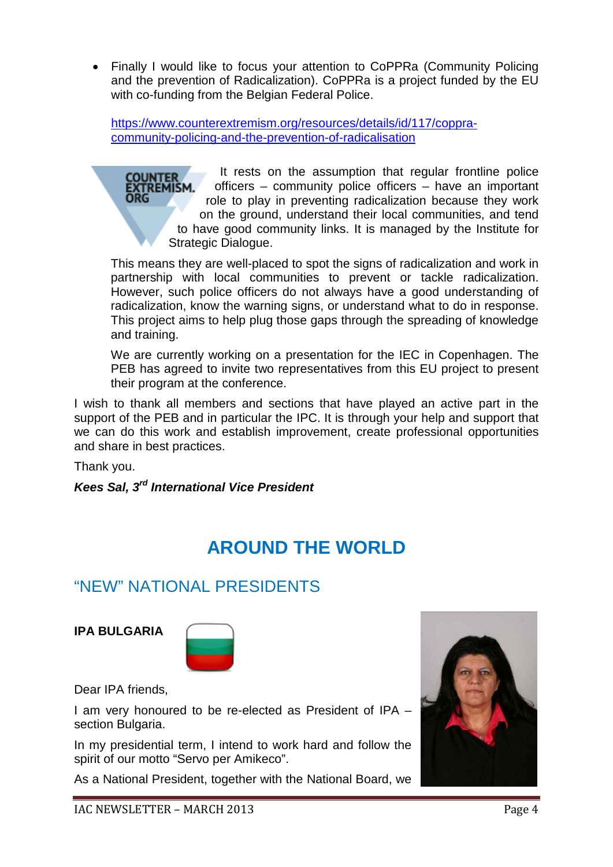• Finally I would like to focus your attention to CoPPRa (Community Policing and the prevention of Radicalization). CoPPRa is a project funded by the EU with co-funding from the Belgian Federal Police.

[https://www.counterextremism.org/resources/details/id/117/coppra](https://www.counterextremism.org/resources/details/id/117/coppra-community-policing-and-the-prevention-of-radicalisation)[community-policing-and-the-prevention-of-radicalisation](https://www.counterextremism.org/resources/details/id/117/coppra-community-policing-and-the-prevention-of-radicalisation)

It rests on the assumption that regular frontline police officers – community police officers – have an important role to play in preventing radicalization because they work on the ground, understand their local communities, and tend to have good community links. It is managed by the Institute for Strategic Dialogue.

This means they are well-placed to spot the signs of radicalization and work in partnership with local communities to prevent or tackle radicalization. However, such police officers do not always have a good understanding of radicalization, know the warning signs, or understand what to do in response. This project aims to help plug those gaps through the spreading of knowledge and training.

We are currently working on a presentation for the IEC in Copenhagen. The PEB has agreed to invite two representatives from this EU project to present their program at the conference.

I wish to thank all members and sections that have played an active part in the support of the PEB and in particular the IPC. It is through your help and support that we can do this work and establish improvement, create professional opportunities and share in best practices.

Thank you.

### *Kees Sal, 3rd International Vice President*

## **AROUND THE WORLD**

## "NEW" NATIONAL PRESIDENTS

**IPA BULGARIA**



Dear IPA friends,

I am very honoured to be re-elected as President of IPA – section Bulgaria.

In my presidential term, I intend to work hard and follow the spirit of our motto "Servo per Amikeco".

As a National President, together with the National Board, we

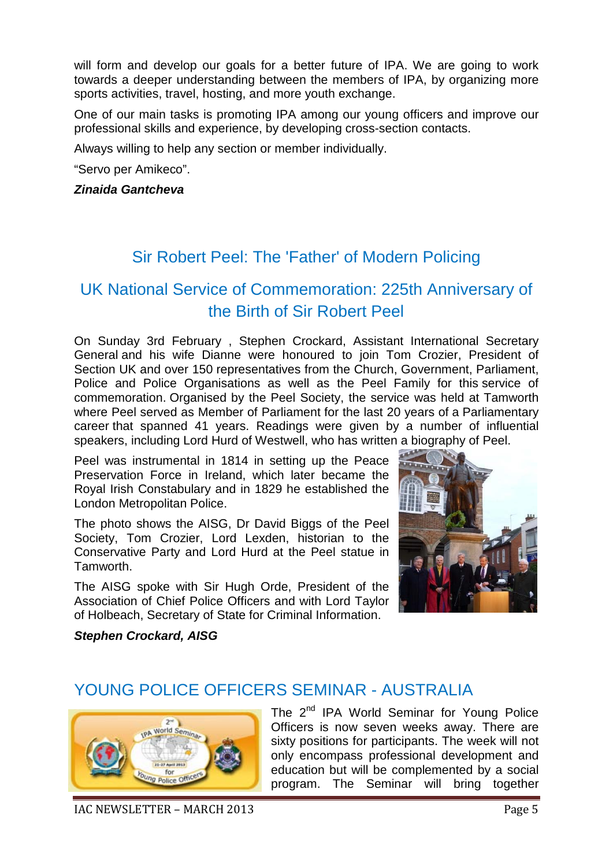will form and develop our goals for a better future of IPA. We are going to work towards a deeper understanding between the members of IPA, by organizing more sports activities, travel, hosting, and more youth exchange.

One of our main tasks is promoting IPA among our young officers and improve our professional skills and experience, by developing cross-section contacts.

Always willing to help any section or member individually.

"Servo per Amikeco".

#### *Zinaida Gantcheva*

### Sir Robert Peel: The 'Father' of Modern Policing

## UK National Service of Commemoration: 225th Anniversary of the Birth of Sir Robert Peel

On Sunday 3rd February , Stephen Crockard, Assistant International Secretary General and his wife Dianne were honoured to join Tom Crozier, President of Section UK and over 150 representatives from the Church, Government, Parliament, Police and Police Organisations as well as the Peel Family for this service of commemoration. Organised by the Peel Society, the service was held at Tamworth where Peel served as Member of Parliament for the last 20 years of a Parliamentary career that spanned 41 years. Readings were given by a number of influential speakers, including Lord Hurd of Westwell, who has written a biography of Peel.

Peel was instrumental in 1814 in setting up the Peace Preservation Force in Ireland, which later became the Royal Irish Constabulary and in 1829 he established the London Metropolitan Police.

The photo shows the AISG, Dr David Biggs of the Peel Society, Tom Crozier, Lord Lexden, historian to the Conservative Party and Lord Hurd at the Peel statue in Tamworth.

The AISG spoke with Sir Hugh Orde, President of the Association of Chief Police Officers and with Lord Taylor of Holbeach, Secretary of State for Criminal Information.



*Stephen Crockard, AISG*

### YOUNG POLICE OFFICERS SEMINAR - AUSTRALIA



The 2<sup>nd</sup> IPA World Seminar for Young Police Officers is now seven weeks away. There are sixty positions for participants. The week will not only encompass professional development and education but will be complemented by a social program. The Seminar will bring together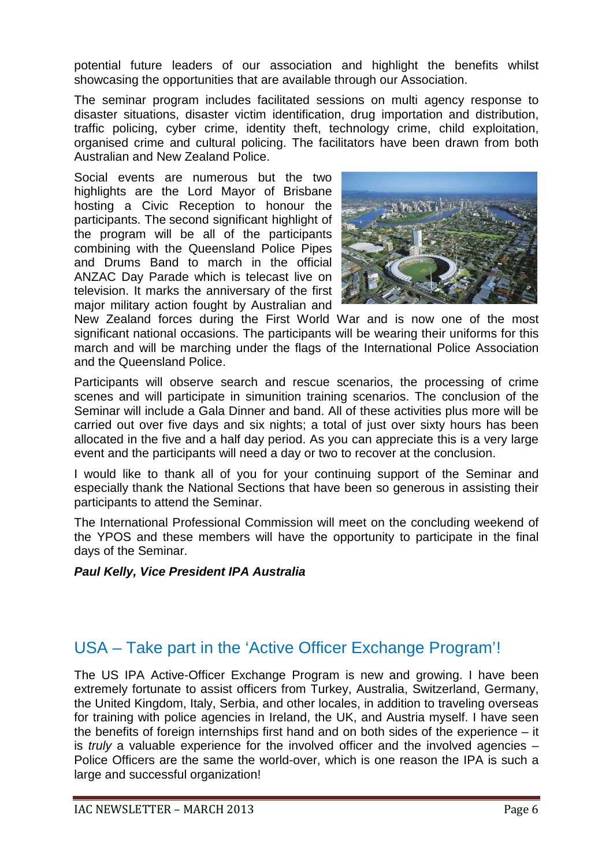potential future leaders of our association and highlight the benefits whilst showcasing the opportunities that are available through our Association.

The seminar program includes facilitated sessions on multi agency response to disaster situations, disaster victim identification, drug importation and distribution, traffic policing, cyber crime, identity theft, technology crime, child exploitation, organised crime and cultural policing. The facilitators have been drawn from both Australian and New Zealand Police.

Social events are numerous but the two highlights are the Lord Mayor of Brisbane hosting a Civic Reception to honour the participants. The second significant highlight of the program will be all of the participants combining with the Queensland Police Pipes and Drums Band to march in the official ANZAC Day Parade which is telecast live on television. It marks the anniversary of the first major military action fought by Australian and



New Zealand forces during the First World War and is now one of the most significant national occasions. The participants will be wearing their uniforms for this march and will be marching under the flags of the International Police Association and the Queensland Police.

Participants will observe search and rescue scenarios, the processing of crime scenes and will participate in simunition training scenarios. The conclusion of the Seminar will include a Gala Dinner and band. All of these activities plus more will be carried out over five days and six nights; a total of just over sixty hours has been allocated in the five and a half day period. As you can appreciate this is a very large event and the participants will need a day or two to recover at the conclusion.

I would like to thank all of you for your continuing support of the Seminar and especially thank the National Sections that have been so generous in assisting their participants to attend the Seminar.

The International Professional Commission will meet on the concluding weekend of the YPOS and these members will have the opportunity to participate in the final days of the Seminar.

### *Paul Kelly, Vice President IPA Australia*

### USA – Take part in the 'Active Officer Exchange Program'!

The US IPA Active-Officer Exchange Program is new and growing. I have been extremely fortunate to assist officers from Turkey, Australia, Switzerland, Germany, the United Kingdom, Italy, Serbia, and other locales, in addition to traveling overseas for training with police agencies in Ireland, the UK, and Austria myself. I have seen the benefits of foreign internships first hand and on both sides of the experience – it is *truly* a valuable experience for the involved officer and the involved agencies – Police Officers are the same the world-over, which is one reason the IPA is such a large and successful organization!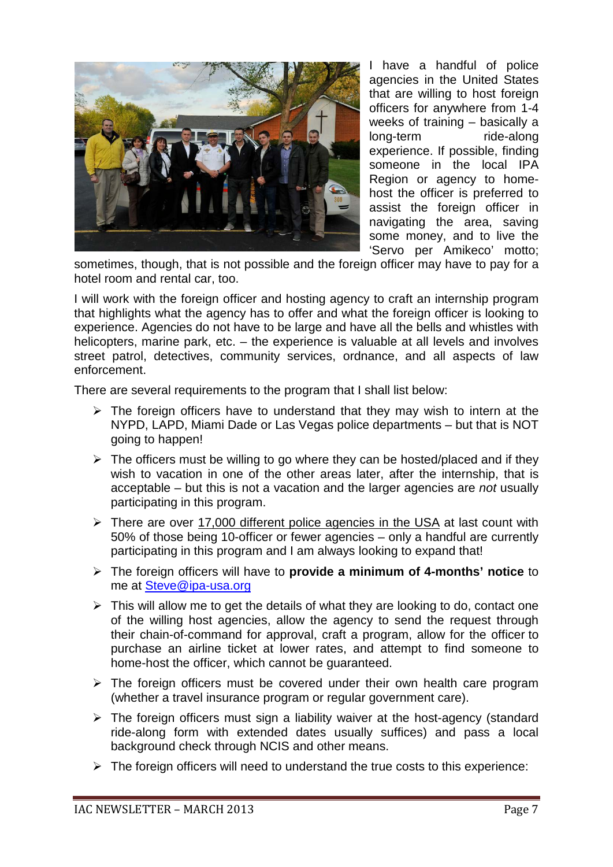

I have a handful of police agencies in the United States that are willing to host foreign officers for anywhere from 1-4 weeks of training – basically a long-term ride-along experience. If possible, finding someone in the local IPA Region or agency to homehost the officer is preferred to assist the foreign officer in navigating the area, saving some money, and to live the 'Servo per Amikeco' motto;

sometimes, though, that is not possible and the foreign officer may have to pay for a hotel room and rental car, too.

I will work with the foreign officer and hosting agency to craft an internship program that highlights what the agency has to offer and what the foreign officer is looking to experience. Agencies do not have to be large and have all the bells and whistles with helicopters, marine park, etc. – the experience is valuable at all levels and involves street patrol, detectives, community services, ordnance, and all aspects of law enforcement.

There are several requirements to the program that I shall list below:

- $\triangleright$  The foreign officers have to understand that they may wish to intern at the NYPD, LAPD, Miami Dade or Las Vegas police departments – but that is NOT going to happen!
- $\triangleright$  The officers must be willing to go where they can be hosted/placed and if they wish to vacation in one of the other areas later, after the internship, that is acceptable – but this is not a vacation and the larger agencies are *not* usually participating in this program.
- $\triangleright$  There are over 17,000 different police agencies in the USA at last count with 50% of those being 10-officer or fewer agencies – only a handful are currently participating in this program and I am always looking to expand that!
- The foreign officers will have to **provide a minimum of 4-months' notice** to me at [Steve@ipa-usa.org](mailto:Steve@ipa-usa.org)
- $\triangleright$  This will allow me to get the details of what they are looking to do, contact one of the willing host agencies, allow the agency to send the request through their chain-of-command for approval, craft a program, allow for the officer to purchase an airline ticket at lower rates, and attempt to find someone to home-host the officer, which cannot be guaranteed.
- $\triangleright$  The foreign officers must be covered under their own health care program (whether a travel insurance program or regular government care).
- $\triangleright$  The foreign officers must sign a liability waiver at the host-agency (standard ride-along form with extended dates usually suffices) and pass a local background check through NCIS and other means.
- $\triangleright$  The foreign officers will need to understand the true costs to this experience: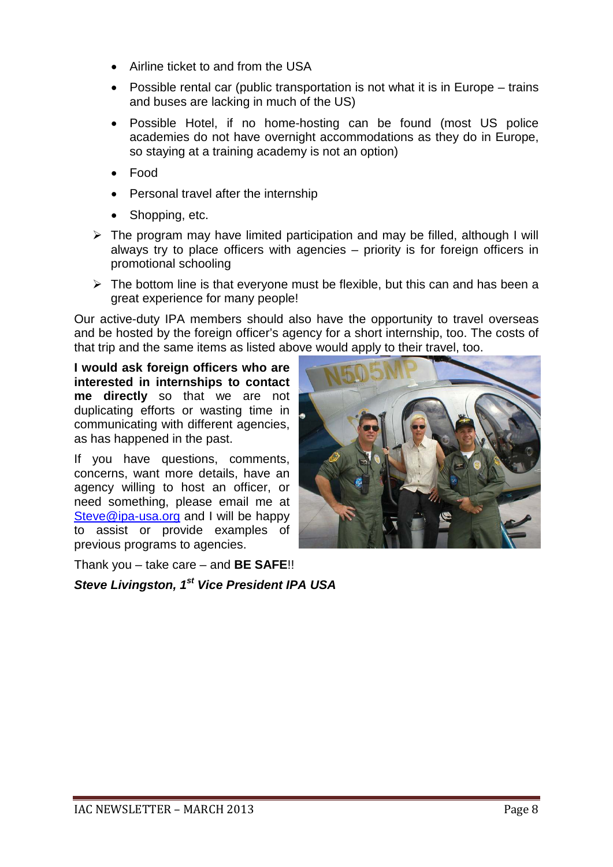- Airline ticket to and from the USA
- Possible rental car (public transportation is not what it is in Europe trains and buses are lacking in much of the US)
- Possible Hotel, if no home-hosting can be found (most US police academies do not have overnight accommodations as they do in Europe, so staying at a training academy is not an option)
- Food
- Personal travel after the internship
- Shopping, etc.
- $\triangleright$  The program may have limited participation and may be filled, although I will always try to place officers with agencies – priority is for foreign officers in promotional schooling
- $\triangleright$  The bottom line is that everyone must be flexible, but this can and has been a great experience for many people!

Our active-duty IPA members should also have the opportunity to travel overseas and be hosted by the foreign officer's agency for a short internship, too. The costs of that trip and the same items as listed above would apply to their travel, too.

**I would ask foreign officers who are interested in internships to contact me directly** so that we are not duplicating efforts or wasting time in communicating with different agencies, as has happened in the past.

If you have questions, comments, concerns, want more details, have an agency willing to host an officer, or need something, please email me at [Steve@ipa-usa.org](mailto:Steve@ipa-usa.org) and I will be happy to assist or provide examples of previous programs to agencies.

Thank you – take care – and **BE SAFE**!!

*Steve Livingston, 1st Vice President IPA USA* 

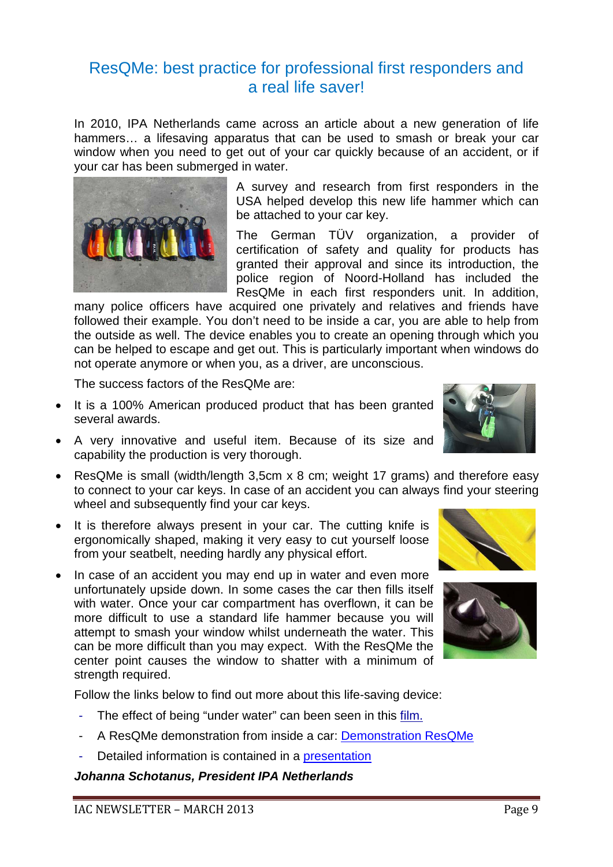### ResQMe: best practice for professional first responders and a real life saver!

In 2010, IPA Netherlands came across an article about a new generation of life hammers… a lifesaving apparatus that can be used to smash or break your car window when you need to get out of your car quickly because of an accident, or if your car has been submerged in water.



A survey and research from first responders in the USA helped develop this new life hammer which can be attached to your car key.

The German TÜV organization, a provider of certification of safety and quality for products has granted their approval and since its introduction, the police region of Noord-Holland has included the ResQMe in each first responders unit. In addition,

many police officers have acquired one privately and relatives and friends have followed their example. You don't need to be inside a car, you are able to help from the outside as well. The device enables you to create an opening through which you can be helped to escape and get out. This is particularly important when windows do not operate anymore or when you, as a driver, are unconscious.

The success factors of the ResQMe are:

- It is a 100% American produced product that has been granted several awards.
- A very innovative and useful item. Because of its size and capability the production is very thorough.
- ResQMe is small (width/length 3,5cm x 8 cm; weight 17 grams) and therefore easy to connect to your car keys. In case of an accident you can always find your steering wheel and subsequently find your car keys.
- It is therefore always present in your car. The cutting knife is ergonomically shaped, making it very easy to cut yourself loose from your seatbelt, needing hardly any physical effort.
- In case of an accident you may end up in water and even more unfortunately upside down. In some cases the car then fills itself with water. Once your car compartment has overflown, it can be more difficult to use a standard life hammer because you will attempt to smash your window whilst underneath the water. This can be more difficult than you may expect. With the ResQMe the center point causes the window to shatter with a minimum of strength required.

Follow the links below to find out more about this life-saving device:

- The effect of being "under water" can been seen in this [film.](http://www.blinkx.com/watch-video/automotive-rescue-tool-res-q-me/HaFiU8OcouSpFQ7bR9Niaw)
- A ResQMe demonstration from inside a car: **Demonstration ResQMe**
- Detailed information is contained in a [presentation](http://www.ipa-nederland.nl/fileadmin/ipa/user_upload/IPA-Nederland/PowerPoint/Presentation_ResQMe-0.5-part1.ppsx)

*Johanna Schotanus, President IPA Netherlands*





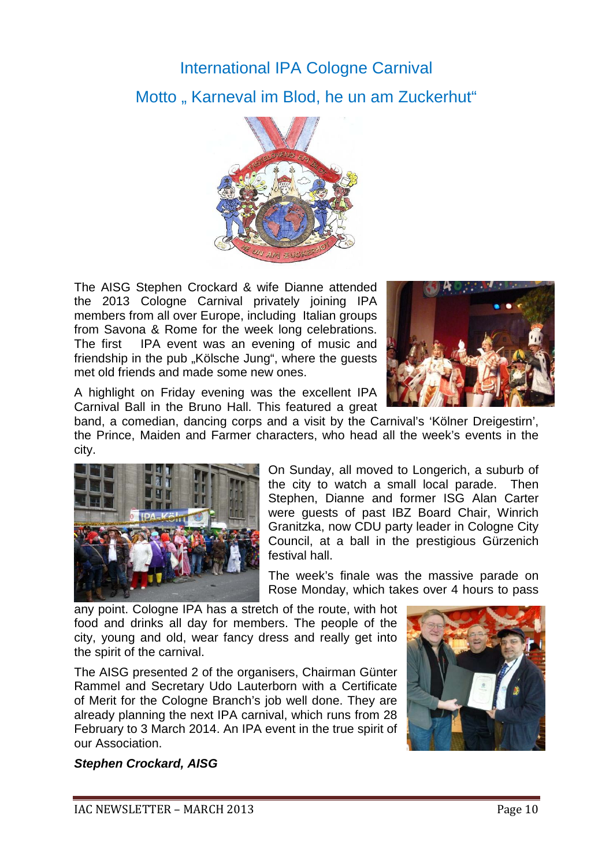# International IPA Cologne Carnival Motto "Karneval im Blod, he un am Zuckerhut"



The AISG Stephen Crockard & wife Dianne attended the 2013 Cologne Carnival privately joining IPA members from all over Europe, including Italian groups from Savona & Rome for the week long celebrations. The first IPA event was an evening of music and friendship in the pub "Kölsche Jung", where the quests met old friends and made some new ones.



A highlight on Friday evening was the excellent IPA Carnival Ball in the Bruno Hall. This featured a great

band, a comedian, dancing corps and a visit by the Carnival's 'Kölner Dreigestirn', the Prince, Maiden and Farmer characters, who head all the week's events in the city.



On Sunday, all moved to Longerich, a suburb of the city to watch a small local parade. Then Stephen, Dianne and former ISG Alan Carter were guests of past IBZ Board Chair, Winrich Granitzka, now CDU party leader in Cologne City Council, at a ball in the prestigious Gürzenich festival hall.

The week's finale was the massive parade on Rose Monday, which takes over 4 hours to pass

any point. Cologne IPA has a stretch of the route, with hot food and drinks all day for members. The people of the city, young and old, wear fancy dress and really get into the spirit of the carnival.

The AISG presented 2 of the organisers, Chairman Günter Rammel and Secretary Udo Lauterborn with a Certificate of Merit for the Cologne Branch's job well done. They are already planning the next IPA carnival, which runs from 28 February to 3 March 2014. An IPA event in the true spirit of our Association.



#### *Stephen Crockard, AISG*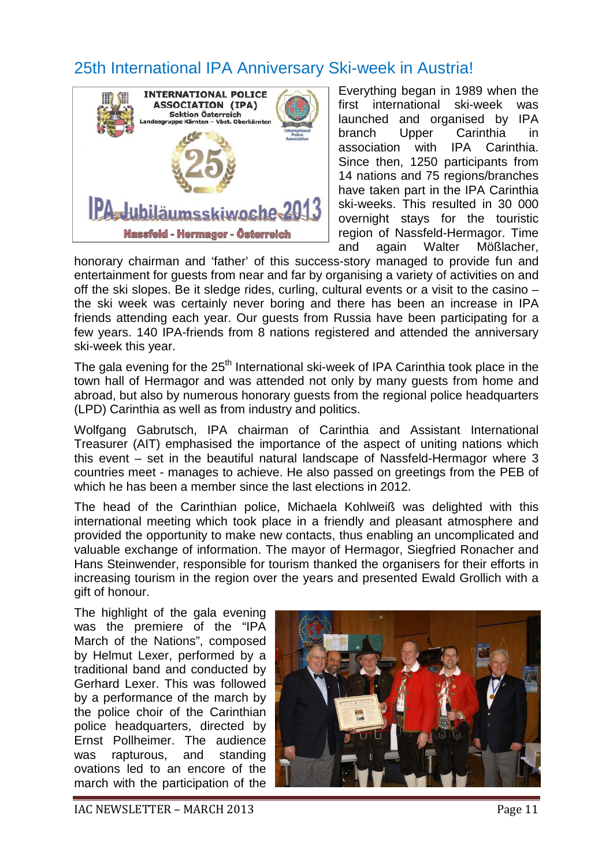## 25th International IPA Anniversary Ski-week in Austria!



Everything began in 1989 when the first international ski-week was launched and organised by IPA branch Upper Carinthia in association with IPA Carinthia. Since then, 1250 participants from 14 nations and 75 regions/branches have taken part in the IPA Carinthia ski-weeks. This resulted in 30 000 overnight stays for the touristic region of Nassfeld-Hermagor. Time and again Walter Mößlacher,

honorary chairman and 'father' of this success-story managed to provide fun and entertainment for guests from near and far by organising a variety of activities on and off the ski slopes. Be it sledge rides, curling, cultural events or a visit to the casino – the ski week was certainly never boring and there has been an increase in IPA friends attending each year. Our guests from Russia have been participating for a few years. 140 IPA-friends from 8 nations registered and attended the anniversary ski-week this year.

The gala evening for the 25<sup>th</sup> International ski-week of IPA Carinthia took place in the town hall of Hermagor and was attended not only by many guests from home and abroad, but also by numerous honorary guests from the regional police headquarters (LPD) Carinthia as well as from industry and politics.

Wolfgang Gabrutsch, IPA chairman of Carinthia and Assistant International Treasurer (AIT) emphasised the importance of the aspect of uniting nations which this event – set in the beautiful natural landscape of Nassfeld-Hermagor where 3 countries meet - manages to achieve. He also passed on greetings from the PEB of which he has been a member since the last elections in 2012.

The head of the Carinthian police, Michaela Kohlweiß was delighted with this international meeting which took place in a friendly and pleasant atmosphere and provided the opportunity to make new contacts, thus enabling an uncomplicated and valuable exchange of information. The mayor of Hermagor, Siegfried Ronacher and Hans Steinwender, responsible for tourism thanked the organisers for their efforts in increasing tourism in the region over the years and presented Ewald Grollich with a gift of honour.

The highlight of the gala evening was the premiere of the "IPA March of the Nations", composed by Helmut Lexer, performed by a traditional band and conducted by Gerhard Lexer. This was followed by a performance of the march by the police choir of the Carinthian police headquarters, directed by Ernst Pollheimer. The audience was rapturous, and standing ovations led to an encore of the march with the participation of the

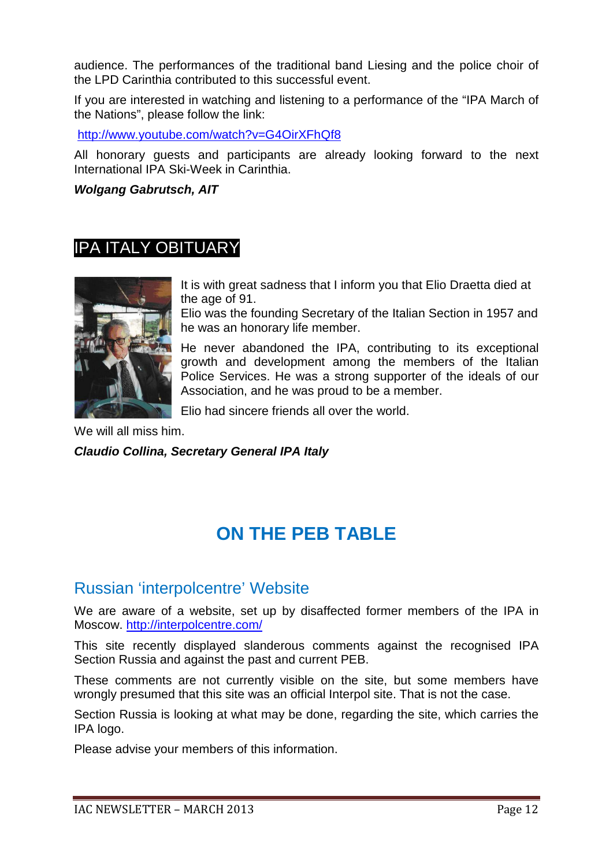audience. The performances of the traditional band Liesing and the police choir of the LPD Carinthia contributed to this successful event.

If you are interested in watching and listening to a performance of the "IPA March of the Nations", please follow the link:

<http://www.youtube.com/watch?v=G4OirXFhQf8>

All honorary guests and participants are already looking forward to the next International IPA Ski-Week in Carinthia.

### *Wolgang Gabrutsch, AIT*

### IPA ITALY OBITUARY



It is with great sadness that I inform you that Elio Draetta died at the age of 91.

Elio was the founding Secretary of the Italian Section in 1957 and he was an honorary life member.

He never abandoned the IPA, contributing to its exceptional growth and development among the members of the Italian Police Services. He was a strong supporter of the ideals of our Association, and he was proud to be a member.

Elio had sincere friends all over the world.

We will all miss him. *Claudio Collina, Secretary General IPA Italy*

# **ON THE PEB TABLE**

### Russian 'interpolcentre' Website

We are aware of a website, set up by disaffected former members of the IPA in Moscow.<http://interpolcentre.com/>

This site recently displayed slanderous comments against the recognised IPA Section Russia and against the past and current PEB.

These comments are not currently visible on the site, but some members have wrongly presumed that this site was an official Interpol site. That is not the case.

Section Russia is looking at what may be done, regarding the site, which carries the IPA logo.

Please advise your members of this information.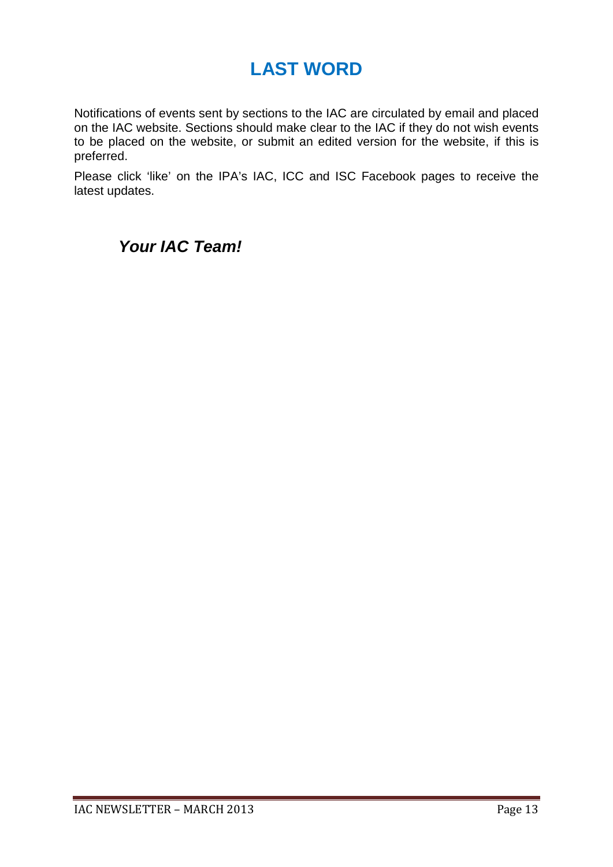# **LAST WORD**

Notifications of events sent by sections to the IAC are circulated by email and placed on the IAC website. Sections should make clear to the IAC if they do not wish events to be placed on the website, or submit an edited version for the website, if this is preferred.

Please click 'like' on the IPA's IAC, ICC and ISC Facebook pages to receive the latest updates.

### *Your IAC Team!*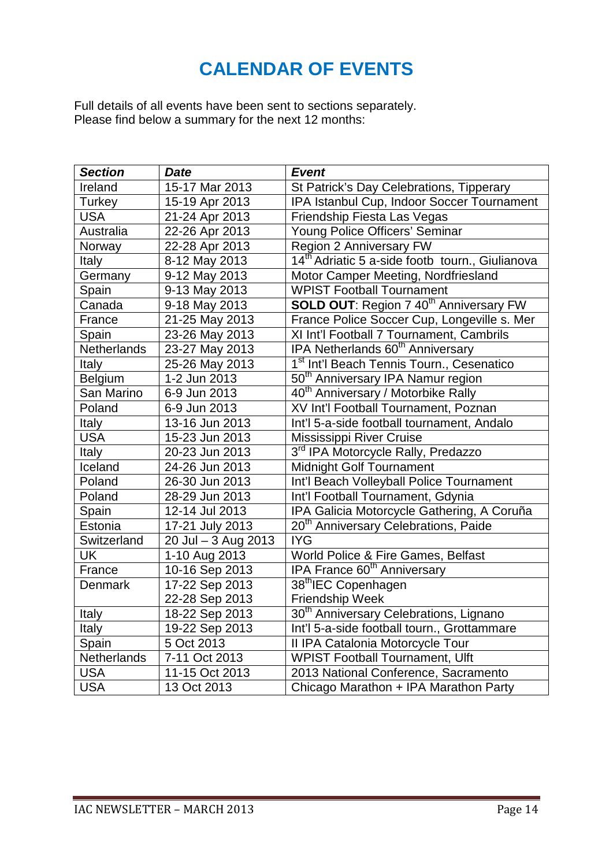# **CALENDAR OF EVENTS**

Full details of all events have been sent to sections separately. Please find below a summary for the next 12 months:

| <b>Section</b> | <b>Date</b>         | <b>Event</b>                                                |  |
|----------------|---------------------|-------------------------------------------------------------|--|
| Ireland        | 15-17 Mar 2013      | St Patrick's Day Celebrations, Tipperary                    |  |
| Turkey         | 15-19 Apr 2013      | IPA Istanbul Cup, Indoor Soccer Tournament                  |  |
| <b>USA</b>     | 21-24 Apr 2013      | Friendship Fiesta Las Vegas                                 |  |
| Australia      | 22-26 Apr 2013      | Young Police Officers' Seminar                              |  |
| Norway         | 22-28 Apr 2013      | Region 2 Anniversary FW                                     |  |
| Italy          | 8-12 May 2013       | 14 <sup>th</sup> Adriatic 5 a-side footb tourn., Giulianova |  |
| Germany        | 9-12 May 2013       | Motor Camper Meeting, Nordfriesland                         |  |
| Spain          | 9-13 May 2013       | <b>WPIST Football Tournament</b>                            |  |
| Canada         | 9-18 May 2013       | <b>SOLD OUT: Region 7 40<sup>th</sup> Anniversary FW</b>    |  |
| France         | 21-25 May 2013      | France Police Soccer Cup, Longeville s. Mer                 |  |
| Spain          | 23-26 May 2013      | XI Int'l Football 7 Tournament, Cambrils                    |  |
| Netherlands    | 23-27 May 2013      | IPA Netherlands 60 <sup>th</sup> Anniversary                |  |
| Italy          | 25-26 May 2013      | 1 <sup>st</sup> Int'l Beach Tennis Tourn., Cesenatico       |  |
| Belgium        | 1-2 Jun 2013        | 50 <sup>th</sup> Anniversary IPA Namur region               |  |
| San Marino     | 6-9 Jun 2013        | 40 <sup>th</sup> Anniversary / Motorbike Rally              |  |
| Poland         | 6-9 Jun 2013        | XV Int'l Football Tournament, Poznan                        |  |
| Italy          | 13-16 Jun 2013      | Int'l 5-a-side football tournament, Andalo                  |  |
| <b>USA</b>     | 15-23 Jun 2013      | Mississippi River Cruise                                    |  |
| Italy          | 20-23 Jun 2013      | 3rd IPA Motorcycle Rally, Predazzo                          |  |
| Iceland        | 24-26 Jun 2013      | Midnight Golf Tournament                                    |  |
| Poland         | 26-30 Jun 2013      | Int'l Beach Volleyball Police Tournament                    |  |
| Poland         | 28-29 Jun 2013      | Int'l Football Tournament, Gdynia                           |  |
| Spain          | 12-14 Jul 2013      | IPA Galicia Motorcycle Gathering, A Coruña                  |  |
| Estonia        | 17-21 July 2013     | 20 <sup>th</sup> Anniversary Celebrations, Paide            |  |
| Switzerland    | 20 Jul - 3 Aug 2013 | <b>IYG</b>                                                  |  |
| <b>UK</b>      | 1-10 Aug 2013       | World Police & Fire Games, Belfast                          |  |
| France         | 10-16 Sep 2013      | IPA France 60 <sup>th</sup> Anniversary                     |  |
| <b>Denmark</b> | 17-22 Sep 2013      | 38 <sup>th</sup> IEC Copenhagen                             |  |
|                | 22-28 Sep 2013      | <b>Friendship Week</b>                                      |  |
| Italy          | 18-22 Sep 2013      | 30 <sup>th</sup> Anniversary Celebrations, Lignano          |  |
| Italy          | 19-22 Sep 2013      | Int'l 5-a-side football tourn., Grottammare                 |  |
| Spain          | 5 Oct 2013          | II IPA Catalonia Motorcycle Tour                            |  |
| Netherlands    | 7-11 Oct 2013       | <b>WPIST Football Tournament, Ulft</b>                      |  |
| <b>USA</b>     | 11-15 Oct 2013      | 2013 National Conference, Sacramento                        |  |
| <b>USA</b>     | 13 Oct 2013         | Chicago Marathon + IPA Marathon Party                       |  |